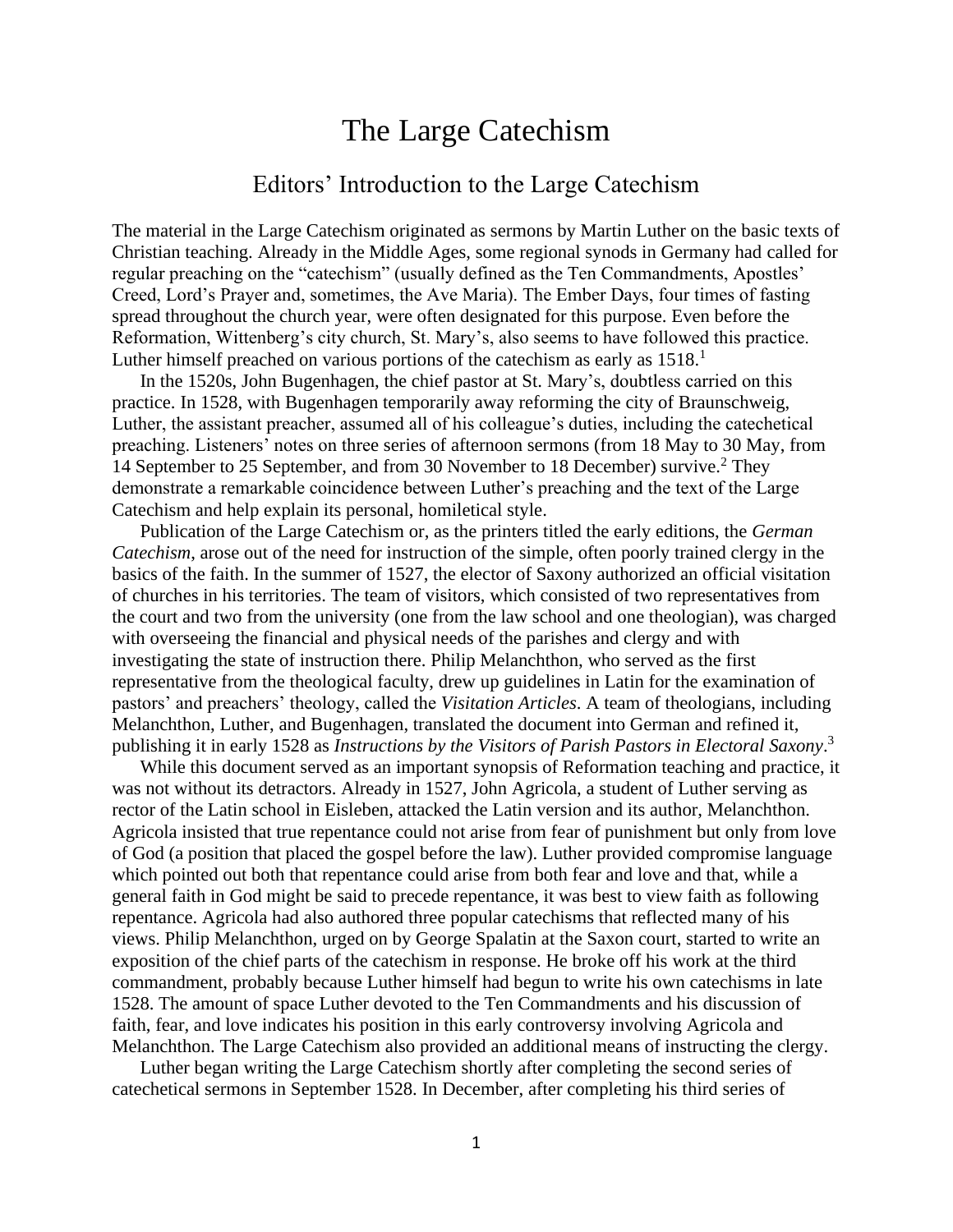## The Large Catechism

## Editors' Introduction to the Large Catechism

The material in the Large Catechism originated as sermons by Martin Luther on the basic texts of Christian teaching. Already in the Middle Ages, some regional synods in Germany had called for regular preaching on the "catechism" (usually defined as the Ten Commandments, Apostles' Creed, Lord's Prayer and, sometimes, the Ave Maria). The Ember Days, four times of fasting spread throughout the church year, were often designated for this purpose. Even before the Reformation, Wittenberg's city church, St. Mary's, also seems to have followed this practice. Luther himself preached on various portions of the catechism as early as  $1518$ <sup>1</sup>

In the 1520s, John Bugenhagen, the chief pastor at St. Mary's, doubtless carried on this practice. In 1528, with Bugenhagen temporarily away reforming the city of Braunschweig, Luther, the assistant preacher, assumed all of his colleague's duties, including the catechetical preaching. Listeners' notes on three series of afternoon sermons (from 18 May to 30 May, from 14 September to 25 September, and from 30 November to 18 December) survive.<sup>2</sup> They demonstrate a remarkable coincidence between Luther's preaching and the text of the Large Catechism and help explain its personal, homiletical style.

Publication of the Large Catechism or, as the printers titled the early editions, the *German Catechism*, arose out of the need for instruction of the simple, often poorly trained clergy in the basics of the faith. In the summer of 1527, the elector of Saxony authorized an official visitation of churches in his territories. The team of visitors, which consisted of two representatives from the court and two from the university (one from the law school and one theologian), was charged with overseeing the financial and physical needs of the parishes and clergy and with investigating the state of instruction there. Philip Melanchthon, who served as the first representative from the theological faculty, drew up guidelines in Latin for the examination of pastors' and preachers' theology, called the *Visitation Articles*. A team of theologians, including Melanchthon, Luther, and Bugenhagen, translated the document into German and refined it, publishing it in early 1528 as *Instructions by the Visitors of Parish Pastors in Electoral Saxony*. 3

While this document served as an important synopsis of Reformation teaching and practice, it was not without its detractors. Already in 1527, John Agricola, a student of Luther serving as rector of the Latin school in Eisleben, attacked the Latin version and its author, Melanchthon. Agricola insisted that true repentance could not arise from fear of punishment but only from love of God (a position that placed the gospel before the law). Luther provided compromise language which pointed out both that repentance could arise from both fear and love and that, while a general faith in God might be said to precede repentance, it was best to view faith as following repentance. Agricola had also authored three popular catechisms that reflected many of his views. Philip Melanchthon, urged on by George Spalatin at the Saxon court, started to write an exposition of the chief parts of the catechism in response. He broke off his work at the third commandment, probably because Luther himself had begun to write his own catechisms in late 1528. The amount of space Luther devoted to the Ten Commandments and his discussion of faith, fear, and love indicates his position in this early controversy involving Agricola and Melanchthon. The Large Catechism also provided an additional means of instructing the clergy.

Luther began writing the Large Catechism shortly after completing the second series of catechetical sermons in September 1528. In December, after completing his third series of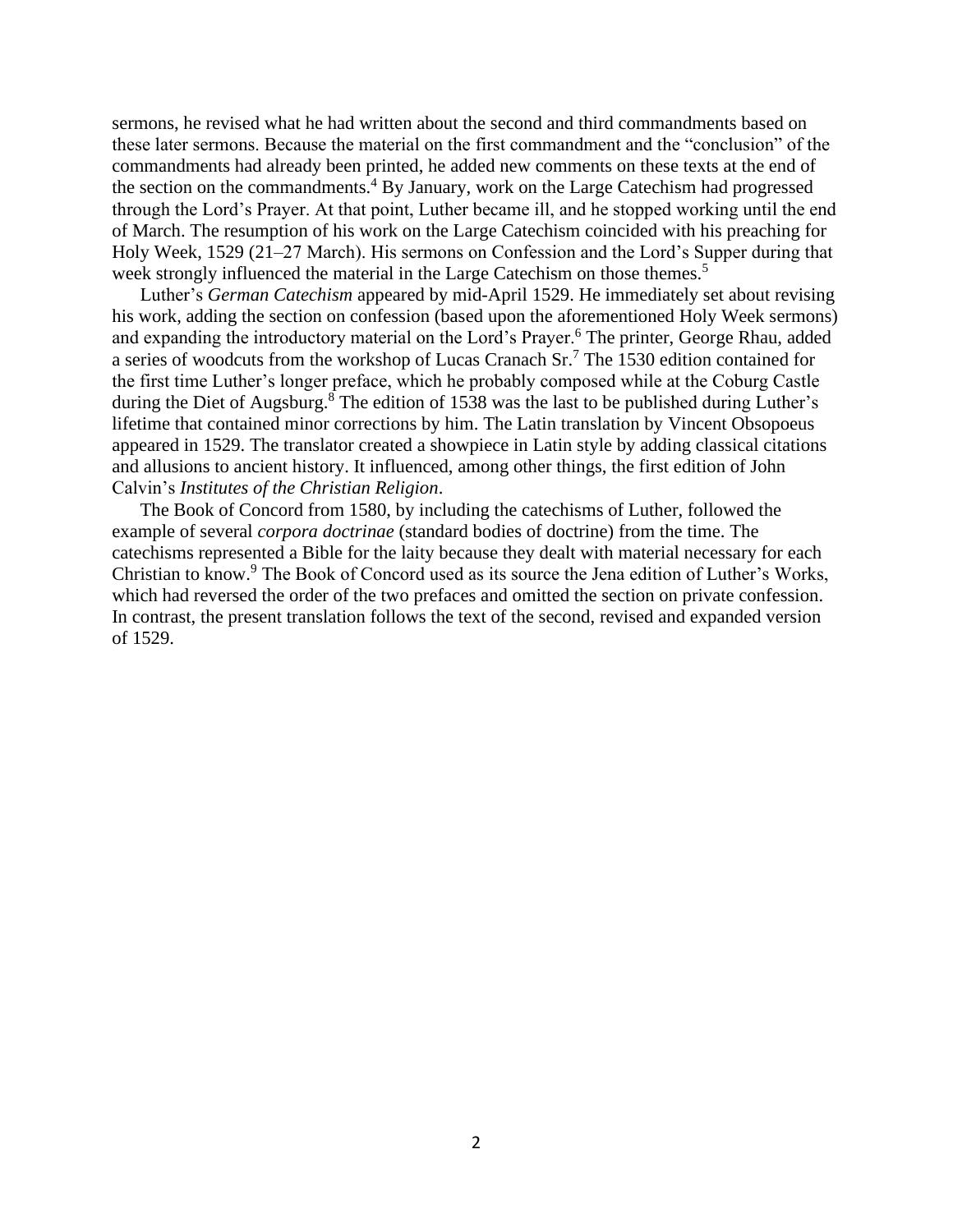sermons, he revised what he had written about the second and third commandments based on these later sermons. Because the material on the first commandment and the "conclusion" of the commandments had already been printed, he added new comments on these texts at the end of the section on the commandments.<sup>4</sup> By January, work on the Large Catechism had progressed through the Lord's Prayer. At that point, Luther became ill, and he stopped working until the end of March. The resumption of his work on the Large Catechism coincided with his preaching for Holy Week, 1529 (21–27 March). His sermons on Confession and the Lord's Supper during that week strongly influenced the material in the Large Catechism on those themes.<sup>5</sup>

Luther's *German Catechism* appeared by mid-April 1529. He immediately set about revising his work, adding the section on confession (based upon the aforementioned Holy Week sermons) and expanding the introductory material on the Lord's Prayer.<sup>6</sup> The printer, George Rhau, added a series of woodcuts from the workshop of Lucas Cranach Sr.<sup>7</sup> The 1530 edition contained for the first time Luther's longer preface, which he probably composed while at the Coburg Castle during the Diet of Augsburg.<sup>8</sup> The edition of 1538 was the last to be published during Luther's lifetime that contained minor corrections by him. The Latin translation by Vincent Obsopoeus appeared in 1529. The translator created a showpiece in Latin style by adding classical citations and allusions to ancient history. It influenced, among other things, the first edition of John Calvin's *Institutes of the Christian Religion*.

The Book of Concord from 1580, by including the catechisms of Luther, followed the example of several *corpora doctrinae* (standard bodies of doctrine) from the time. The catechisms represented a Bible for the laity because they dealt with material necessary for each Christian to know.<sup>9</sup> The Book of Concord used as its source the Jena edition of Luther's Works, which had reversed the order of the two prefaces and omitted the section on private confession. In contrast, the present translation follows the text of the second, revised and expanded version of 1529.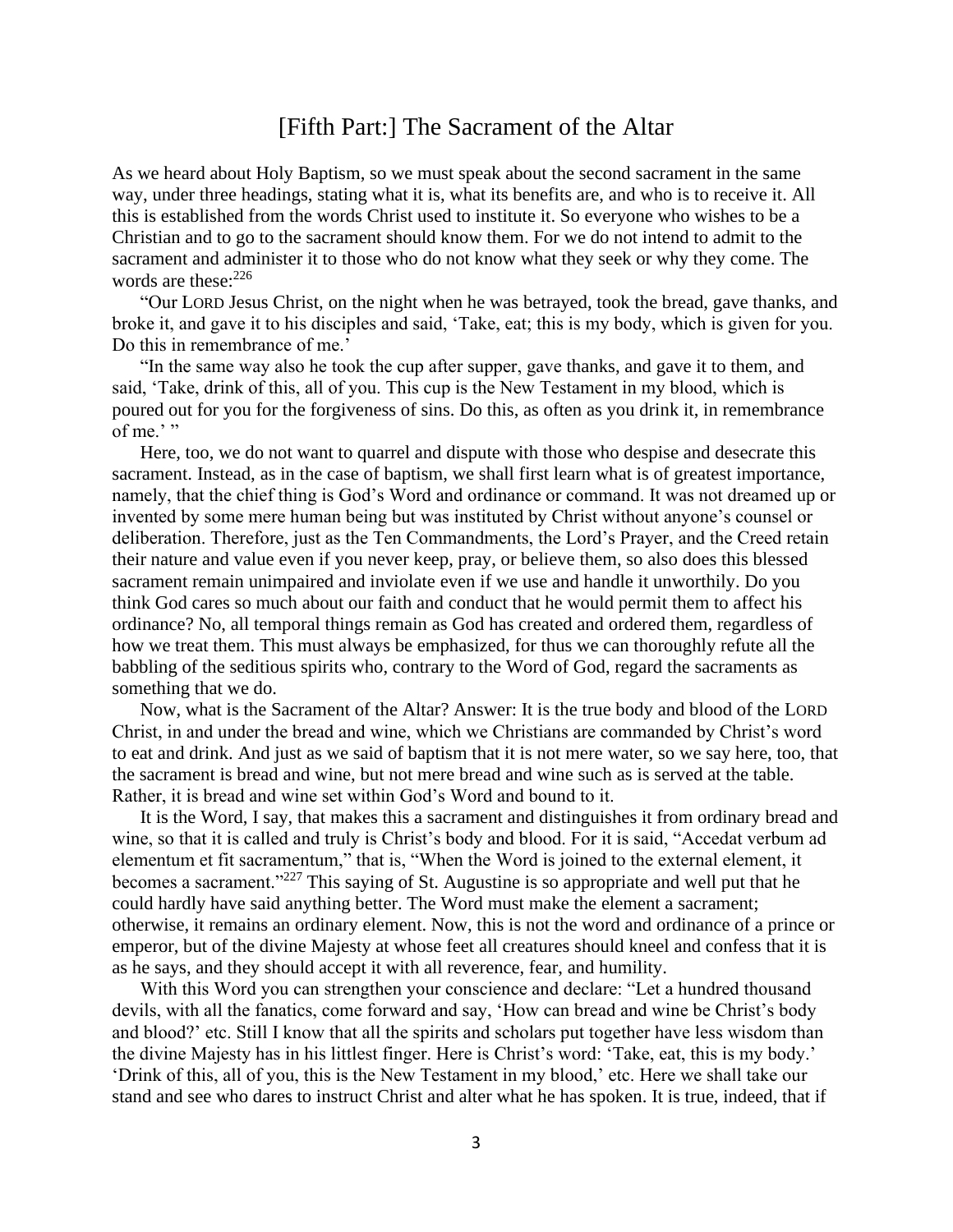## [Fifth Part:] The Sacrament of the Altar

As we heard about Holy Baptism, so we must speak about the second sacrament in the same way, under three headings, stating what it is, what its benefits are, and who is to receive it. All this is established from the words Christ used to institute it. So everyone who wishes to be a Christian and to go to the sacrament should know them. For we do not intend to admit to the sacrament and administer it to those who do not know what they seek or why they come. The words are these: $226$ 

"Our LORD Jesus Christ, on the night when he was betrayed, took the bread, gave thanks, and broke it, and gave it to his disciples and said, 'Take, eat; this is my body, which is given for you. Do this in remembrance of me.'

"In the same way also he took the cup after supper, gave thanks, and gave it to them, and said, 'Take, drink of this, all of you. This cup is the New Testament in my blood, which is poured out for you for the forgiveness of sins. Do this, as often as you drink it, in remembrance of me.' "

Here, too, we do not want to quarrel and dispute with those who despise and desecrate this sacrament. Instead, as in the case of baptism, we shall first learn what is of greatest importance, namely, that the chief thing is God's Word and ordinance or command. It was not dreamed up or invented by some mere human being but was instituted by Christ without anyone's counsel or deliberation. Therefore, just as the Ten Commandments, the Lord's Prayer, and the Creed retain their nature and value even if you never keep, pray, or believe them, so also does this blessed sacrament remain unimpaired and inviolate even if we use and handle it unworthily. Do you think God cares so much about our faith and conduct that he would permit them to affect his ordinance? No, all temporal things remain as God has created and ordered them, regardless of how we treat them. This must always be emphasized, for thus we can thoroughly refute all the babbling of the seditious spirits who, contrary to the Word of God, regard the sacraments as something that we do.

Now, what is the Sacrament of the Altar? Answer: It is the true body and blood of the LORD Christ, in and under the bread and wine, which we Christians are commanded by Christ's word to eat and drink. And just as we said of baptism that it is not mere water, so we say here, too, that the sacrament is bread and wine, but not mere bread and wine such as is served at the table. Rather, it is bread and wine set within God's Word and bound to it.

It is the Word, I say, that makes this a sacrament and distinguishes it from ordinary bread and wine, so that it is called and truly is Christ's body and blood. For it is said, "Accedat verbum ad elementum et fit sacramentum," that is, "When the Word is joined to the external element, it becomes a sacrament."<sup>227</sup> This saying of St. Augustine is so appropriate and well put that he could hardly have said anything better. The Word must make the element a sacrament; otherwise, it remains an ordinary element. Now, this is not the word and ordinance of a prince or emperor, but of the divine Majesty at whose feet all creatures should kneel and confess that it is as he says, and they should accept it with all reverence, fear, and humility.

With this Word you can strengthen your conscience and declare: "Let a hundred thousand devils, with all the fanatics, come forward and say, 'How can bread and wine be Christ's body and blood?' etc. Still I know that all the spirits and scholars put together have less wisdom than the divine Majesty has in his littlest finger. Here is Christ's word: 'Take, eat, this is my body.' 'Drink of this, all of you, this is the New Testament in my blood,' etc. Here we shall take our stand and see who dares to instruct Christ and alter what he has spoken. It is true, indeed, that if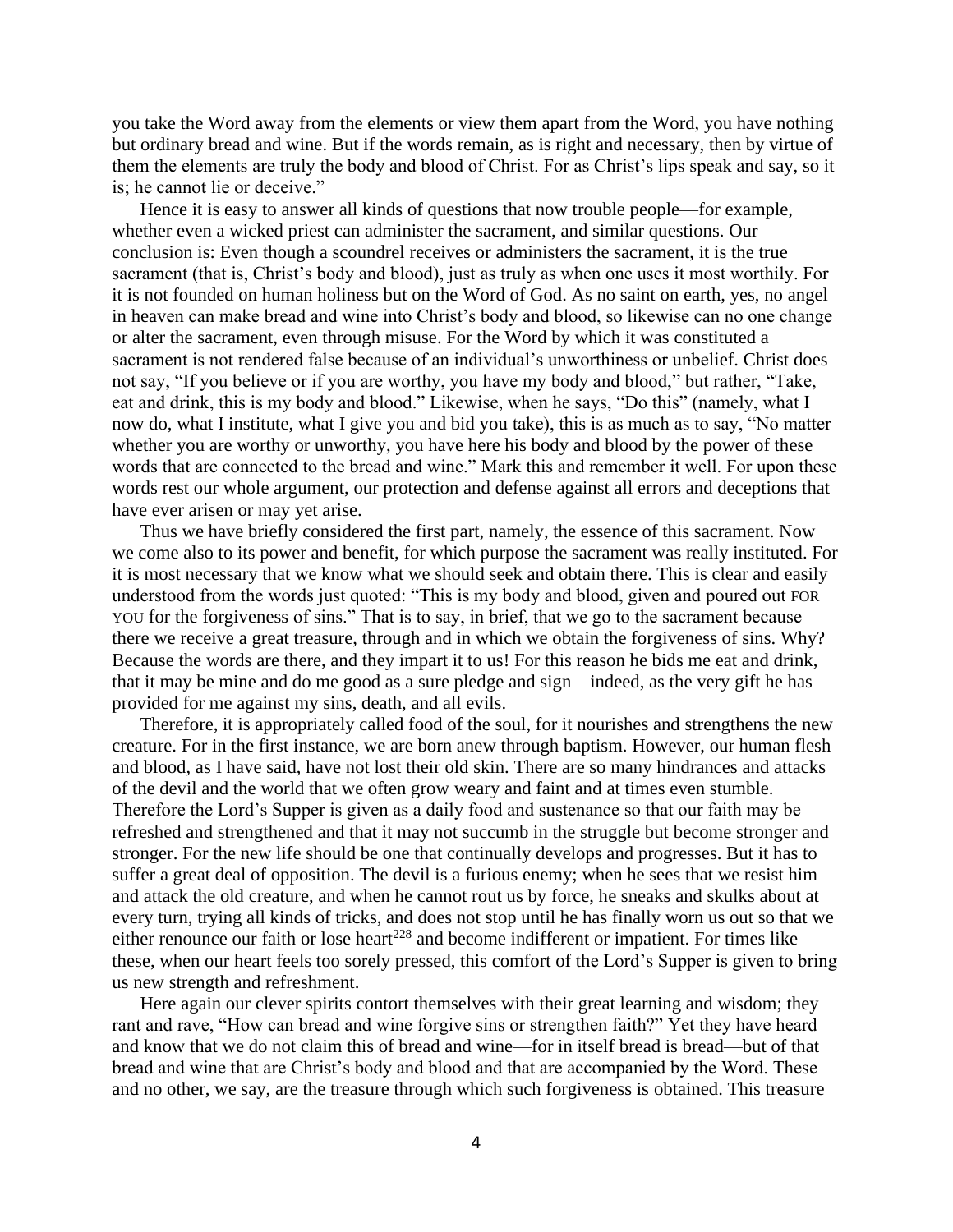you take the Word away from the elements or view them apart from the Word, you have nothing but ordinary bread and wine. But if the words remain, as is right and necessary, then by virtue of them the elements are truly the body and blood of Christ. For as Christ's lips speak and say, so it is; he cannot lie or deceive."

Hence it is easy to answer all kinds of questions that now trouble people—for example, whether even a wicked priest can administer the sacrament, and similar questions. Our conclusion is: Even though a scoundrel receives or administers the sacrament, it is the true sacrament (that is, Christ's body and blood), just as truly as when one uses it most worthily. For it is not founded on human holiness but on the Word of God. As no saint on earth, yes, no angel in heaven can make bread and wine into Christ's body and blood, so likewise can no one change or alter the sacrament, even through misuse. For the Word by which it was constituted a sacrament is not rendered false because of an individual's unworthiness or unbelief. Christ does not say, "If you believe or if you are worthy, you have my body and blood," but rather, "Take, eat and drink, this is my body and blood." Likewise, when he says, "Do this" (namely, what I now do, what I institute, what I give you and bid you take), this is as much as to say, "No matter whether you are worthy or unworthy, you have here his body and blood by the power of these words that are connected to the bread and wine." Mark this and remember it well. For upon these words rest our whole argument, our protection and defense against all errors and deceptions that have ever arisen or may yet arise.

Thus we have briefly considered the first part, namely, the essence of this sacrament. Now we come also to its power and benefit, for which purpose the sacrament was really instituted. For it is most necessary that we know what we should seek and obtain there. This is clear and easily understood from the words just quoted: "This is my body and blood, given and poured out FOR YOU for the forgiveness of sins." That is to say, in brief, that we go to the sacrament because there we receive a great treasure, through and in which we obtain the forgiveness of sins. Why? Because the words are there, and they impart it to us! For this reason he bids me eat and drink, that it may be mine and do me good as a sure pledge and sign—indeed, as the very gift he has provided for me against my sins, death, and all evils.

Therefore, it is appropriately called food of the soul, for it nourishes and strengthens the new creature. For in the first instance, we are born anew through baptism. However, our human flesh and blood, as I have said, have not lost their old skin. There are so many hindrances and attacks of the devil and the world that we often grow weary and faint and at times even stumble. Therefore the Lord's Supper is given as a daily food and sustenance so that our faith may be refreshed and strengthened and that it may not succumb in the struggle but become stronger and stronger. For the new life should be one that continually develops and progresses. But it has to suffer a great deal of opposition. The devil is a furious enemy; when he sees that we resist him and attack the old creature, and when he cannot rout us by force, he sneaks and skulks about at every turn, trying all kinds of tricks, and does not stop until he has finally worn us out so that we either renounce our faith or lose heart<sup> $228$ </sup> and become indifferent or impatient. For times like these, when our heart feels too sorely pressed, this comfort of the Lord's Supper is given to bring us new strength and refreshment.

Here again our clever spirits contort themselves with their great learning and wisdom; they rant and rave, "How can bread and wine forgive sins or strengthen faith?" Yet they have heard and know that we do not claim this of bread and wine—for in itself bread is bread—but of that bread and wine that are Christ's body and blood and that are accompanied by the Word. These and no other, we say, are the treasure through which such forgiveness is obtained. This treasure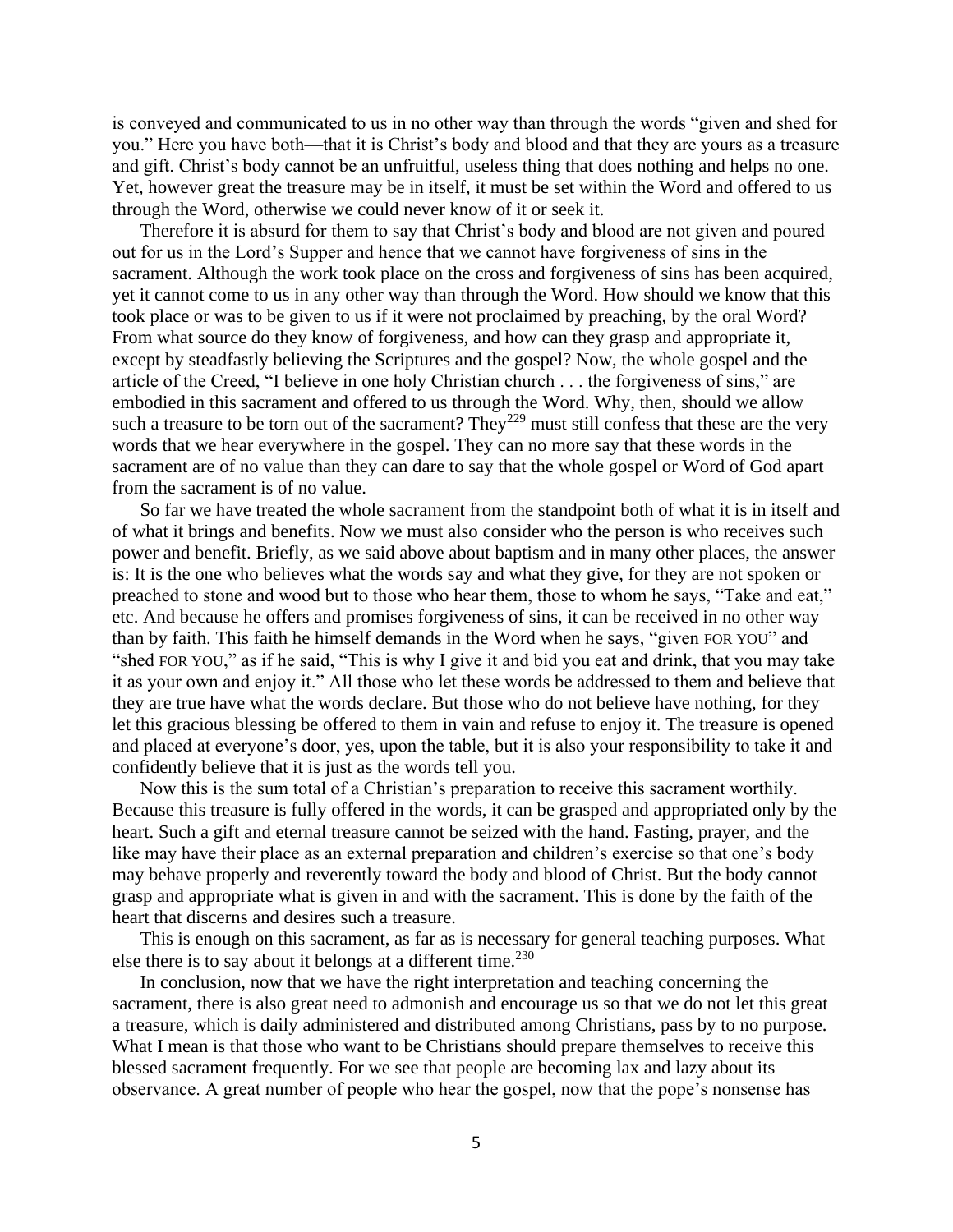is conveyed and communicated to us in no other way than through the words "given and shed for you." Here you have both—that it is Christ's body and blood and that they are yours as a treasure and gift. Christ's body cannot be an unfruitful, useless thing that does nothing and helps no one. Yet, however great the treasure may be in itself, it must be set within the Word and offered to us through the Word, otherwise we could never know of it or seek it.

Therefore it is absurd for them to say that Christ's body and blood are not given and poured out for us in the Lord's Supper and hence that we cannot have forgiveness of sins in the sacrament. Although the work took place on the cross and forgiveness of sins has been acquired, yet it cannot come to us in any other way than through the Word. How should we know that this took place or was to be given to us if it were not proclaimed by preaching, by the oral Word? From what source do they know of forgiveness, and how can they grasp and appropriate it, except by steadfastly believing the Scriptures and the gospel? Now, the whole gospel and the article of the Creed, "I believe in one holy Christian church . . . the forgiveness of sins," are embodied in this sacrament and offered to us through the Word. Why, then, should we allow such a treasure to be torn out of the sacrament? They<sup>229</sup> must still confess that these are the very words that we hear everywhere in the gospel. They can no more say that these words in the sacrament are of no value than they can dare to say that the whole gospel or Word of God apart from the sacrament is of no value.

So far we have treated the whole sacrament from the standpoint both of what it is in itself and of what it brings and benefits. Now we must also consider who the person is who receives such power and benefit. Briefly, as we said above about baptism and in many other places, the answer is: It is the one who believes what the words say and what they give, for they are not spoken or preached to stone and wood but to those who hear them, those to whom he says, "Take and eat," etc. And because he offers and promises forgiveness of sins, it can be received in no other way than by faith. This faith he himself demands in the Word when he says, "given FOR YOU" and "shed FOR YOU," as if he said, "This is why I give it and bid you eat and drink, that you may take it as your own and enjoy it." All those who let these words be addressed to them and believe that they are true have what the words declare. But those who do not believe have nothing, for they let this gracious blessing be offered to them in vain and refuse to enjoy it. The treasure is opened and placed at everyone's door, yes, upon the table, but it is also your responsibility to take it and confidently believe that it is just as the words tell you.

Now this is the sum total of a Christian's preparation to receive this sacrament worthily. Because this treasure is fully offered in the words, it can be grasped and appropriated only by the heart. Such a gift and eternal treasure cannot be seized with the hand. Fasting, prayer, and the like may have their place as an external preparation and children's exercise so that one's body may behave properly and reverently toward the body and blood of Christ. But the body cannot grasp and appropriate what is given in and with the sacrament. This is done by the faith of the heart that discerns and desires such a treasure.

This is enough on this sacrament, as far as is necessary for general teaching purposes. What else there is to say about it belongs at a different time. $^{230}$ 

In conclusion, now that we have the right interpretation and teaching concerning the sacrament, there is also great need to admonish and encourage us so that we do not let this great a treasure, which is daily administered and distributed among Christians, pass by to no purpose. What I mean is that those who want to be Christians should prepare themselves to receive this blessed sacrament frequently. For we see that people are becoming lax and lazy about its observance. A great number of people who hear the gospel, now that the pope's nonsense has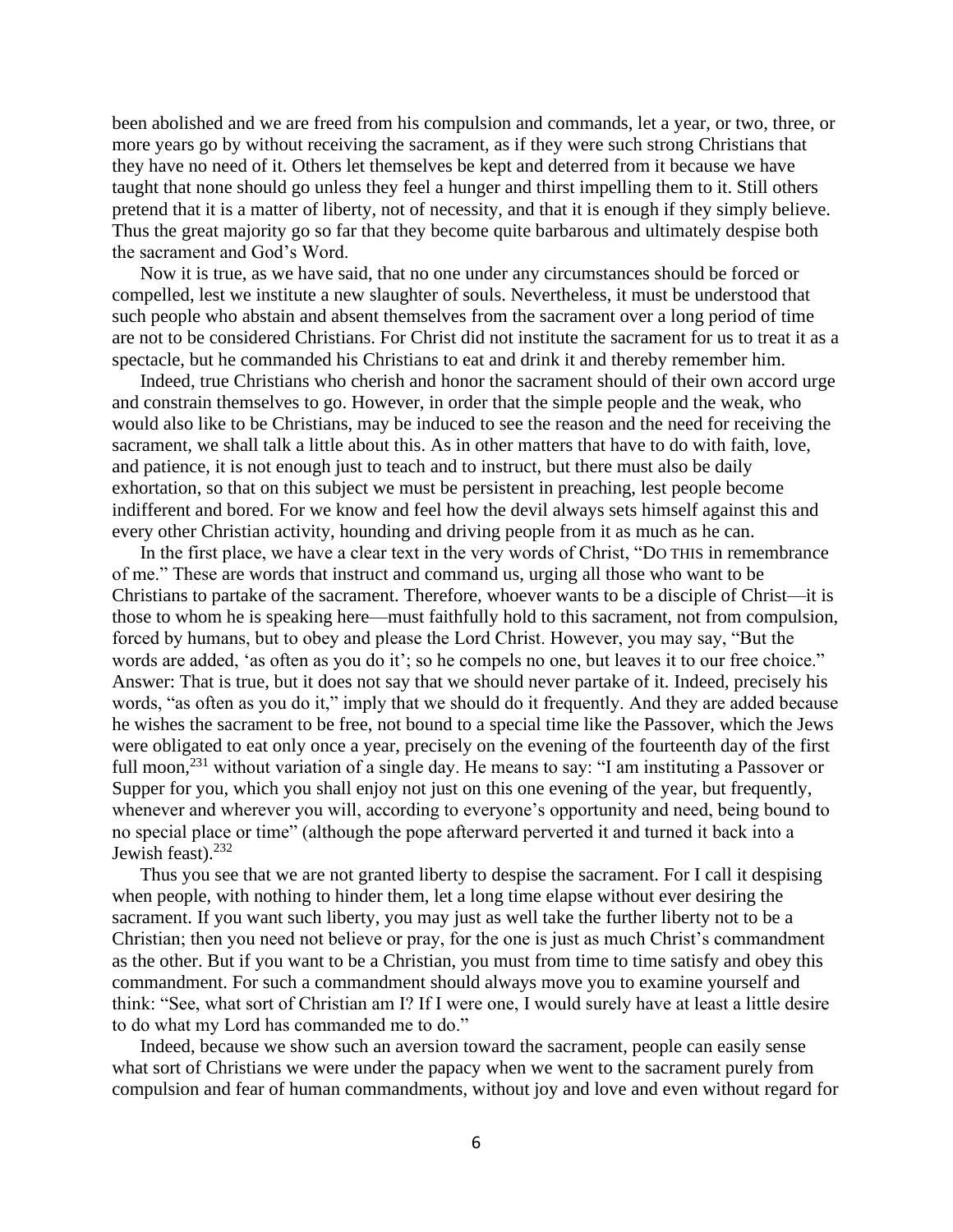been abolished and we are freed from his compulsion and commands, let a year, or two, three, or more years go by without receiving the sacrament, as if they were such strong Christians that they have no need of it. Others let themselves be kept and deterred from it because we have taught that none should go unless they feel a hunger and thirst impelling them to it. Still others pretend that it is a matter of liberty, not of necessity, and that it is enough if they simply believe. Thus the great majority go so far that they become quite barbarous and ultimately despise both the sacrament and God's Word.

Now it is true, as we have said, that no one under any circumstances should be forced or compelled, lest we institute a new slaughter of souls. Nevertheless, it must be understood that such people who abstain and absent themselves from the sacrament over a long period of time are not to be considered Christians. For Christ did not institute the sacrament for us to treat it as a spectacle, but he commanded his Christians to eat and drink it and thereby remember him.

Indeed, true Christians who cherish and honor the sacrament should of their own accord urge and constrain themselves to go. However, in order that the simple people and the weak, who would also like to be Christians, may be induced to see the reason and the need for receiving the sacrament, we shall talk a little about this. As in other matters that have to do with faith, love, and patience, it is not enough just to teach and to instruct, but there must also be daily exhortation, so that on this subject we must be persistent in preaching, lest people become indifferent and bored. For we know and feel how the devil always sets himself against this and every other Christian activity, hounding and driving people from it as much as he can.

In the first place, we have a clear text in the very words of Christ, "DO THIS in remembrance of me." These are words that instruct and command us, urging all those who want to be Christians to partake of the sacrament. Therefore, whoever wants to be a disciple of Christ—it is those to whom he is speaking here—must faithfully hold to this sacrament, not from compulsion, forced by humans, but to obey and please the Lord Christ. However, you may say, "But the words are added, 'as often as you do it'; so he compels no one, but leaves it to our free choice." Answer: That is true, but it does not say that we should never partake of it. Indeed, precisely his words, "as often as you do it," imply that we should do it frequently. And they are added because he wishes the sacrament to be free, not bound to a special time like the Passover, which the Jews were obligated to eat only once a year, precisely on the evening of the fourteenth day of the first full moon,<sup>231</sup> without variation of a single day. He means to say: "I am instituting a Passover or Supper for you, which you shall enjoy not just on this one evening of the year, but frequently, whenever and wherever you will, according to everyone's opportunity and need, being bound to no special place or time" (although the pope afterward perverted it and turned it back into a Jewish feast). $232$ 

Thus you see that we are not granted liberty to despise the sacrament. For I call it despising when people, with nothing to hinder them, let a long time elapse without ever desiring the sacrament. If you want such liberty, you may just as well take the further liberty not to be a Christian; then you need not believe or pray, for the one is just as much Christ's commandment as the other. But if you want to be a Christian, you must from time to time satisfy and obey this commandment. For such a commandment should always move you to examine yourself and think: "See, what sort of Christian am I? If I were one, I would surely have at least a little desire to do what my Lord has commanded me to do."

Indeed, because we show such an aversion toward the sacrament, people can easily sense what sort of Christians we were under the papacy when we went to the sacrament purely from compulsion and fear of human commandments, without joy and love and even without regard for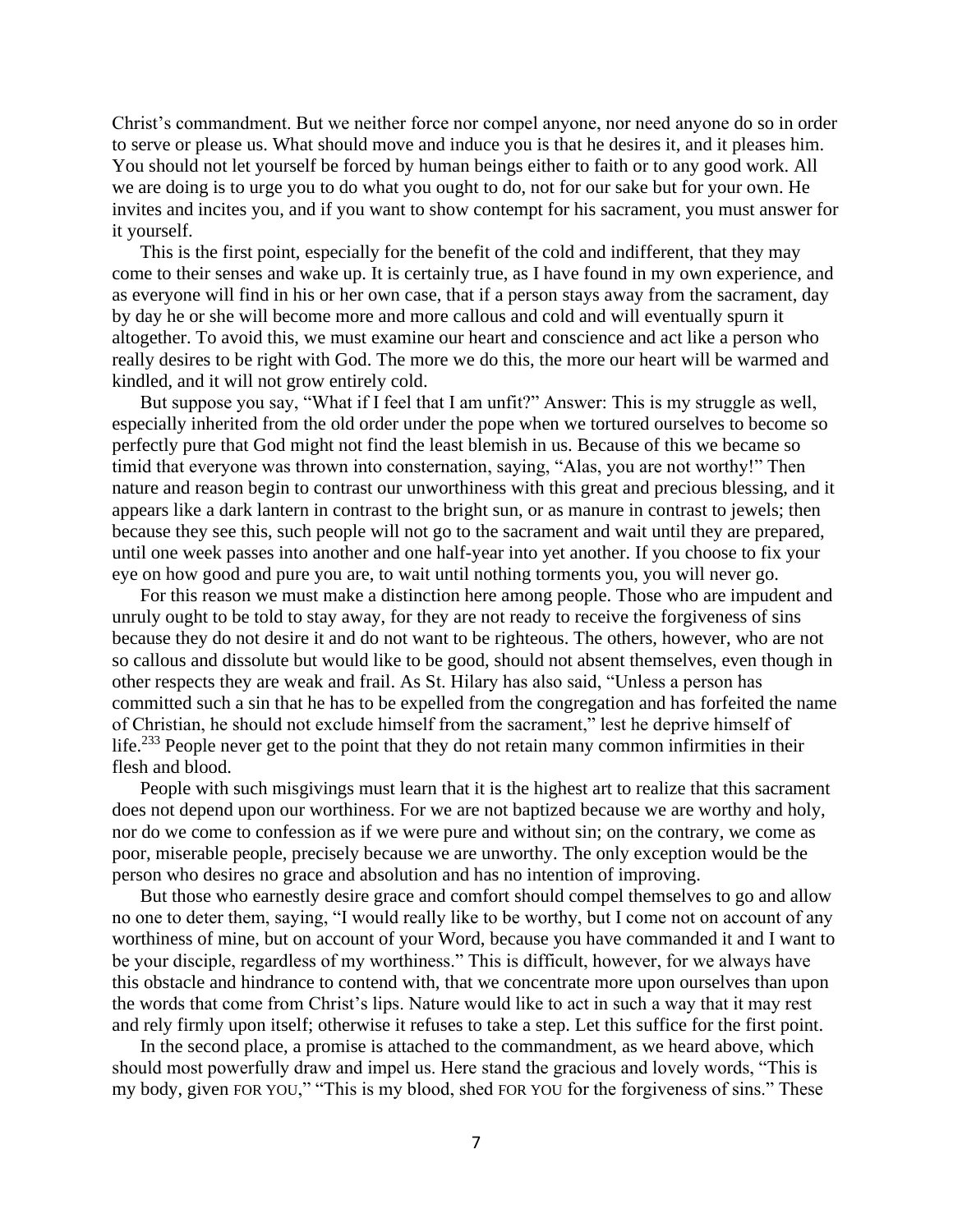Christ's commandment. But we neither force nor compel anyone, nor need anyone do so in order to serve or please us. What should move and induce you is that he desires it, and it pleases him. You should not let yourself be forced by human beings either to faith or to any good work. All we are doing is to urge you to do what you ought to do, not for our sake but for your own. He invites and incites you, and if you want to show contempt for his sacrament, you must answer for it yourself.

This is the first point, especially for the benefit of the cold and indifferent, that they may come to their senses and wake up. It is certainly true, as I have found in my own experience, and as everyone will find in his or her own case, that if a person stays away from the sacrament, day by day he or she will become more and more callous and cold and will eventually spurn it altogether. To avoid this, we must examine our heart and conscience and act like a person who really desires to be right with God. The more we do this, the more our heart will be warmed and kindled, and it will not grow entirely cold.

But suppose you say, "What if I feel that I am unfit?" Answer: This is my struggle as well, especially inherited from the old order under the pope when we tortured ourselves to become so perfectly pure that God might not find the least blemish in us. Because of this we became so timid that everyone was thrown into consternation, saying, "Alas, you are not worthy!" Then nature and reason begin to contrast our unworthiness with this great and precious blessing, and it appears like a dark lantern in contrast to the bright sun, or as manure in contrast to jewels; then because they see this, such people will not go to the sacrament and wait until they are prepared, until one week passes into another and one half-year into yet another. If you choose to fix your eye on how good and pure you are, to wait until nothing torments you, you will never go.

For this reason we must make a distinction here among people. Those who are impudent and unruly ought to be told to stay away, for they are not ready to receive the forgiveness of sins because they do not desire it and do not want to be righteous. The others, however, who are not so callous and dissolute but would like to be good, should not absent themselves, even though in other respects they are weak and frail. As St. Hilary has also said, "Unless a person has committed such a sin that he has to be expelled from the congregation and has forfeited the name of Christian, he should not exclude himself from the sacrament," lest he deprive himself of life.<sup>233</sup> People never get to the point that they do not retain many common infirmities in their flesh and blood.

People with such misgivings must learn that it is the highest art to realize that this sacrament does not depend upon our worthiness. For we are not baptized because we are worthy and holy, nor do we come to confession as if we were pure and without sin; on the contrary, we come as poor, miserable people, precisely because we are unworthy. The only exception would be the person who desires no grace and absolution and has no intention of improving.

But those who earnestly desire grace and comfort should compel themselves to go and allow no one to deter them, saying, "I would really like to be worthy, but I come not on account of any worthiness of mine, but on account of your Word, because you have commanded it and I want to be your disciple, regardless of my worthiness." This is difficult, however, for we always have this obstacle and hindrance to contend with, that we concentrate more upon ourselves than upon the words that come from Christ's lips. Nature would like to act in such a way that it may rest and rely firmly upon itself; otherwise it refuses to take a step. Let this suffice for the first point.

In the second place, a promise is attached to the commandment, as we heard above, which should most powerfully draw and impel us. Here stand the gracious and lovely words, "This is my body, given FOR YOU," "This is my blood, shed FOR YOU for the forgiveness of sins." These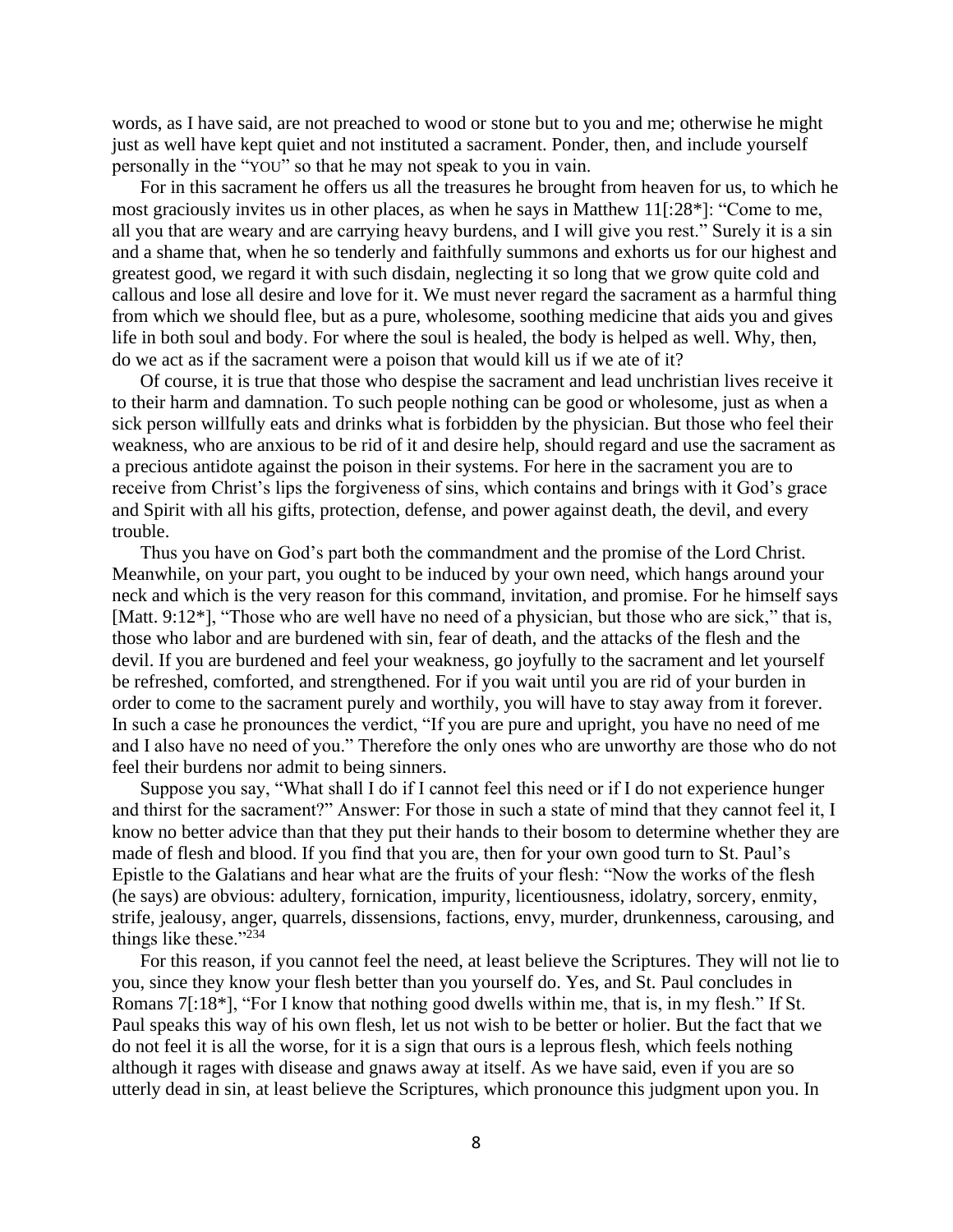words, as I have said, are not preached to wood or stone but to you and me; otherwise he might just as well have kept quiet and not instituted a sacrament. Ponder, then, and include yourself personally in the "YOU" so that he may not speak to you in vain.

For in this sacrament he offers us all the treasures he brought from heaven for us, to which he most graciously invites us in other places, as when he says in Matthew 11[:28\*]: "Come to me, all you that are weary and are carrying heavy burdens, and I will give you rest." Surely it is a sin and a shame that, when he so tenderly and faithfully summons and exhorts us for our highest and greatest good, we regard it with such disdain, neglecting it so long that we grow quite cold and callous and lose all desire and love for it. We must never regard the sacrament as a harmful thing from which we should flee, but as a pure, wholesome, soothing medicine that aids you and gives life in both soul and body. For where the soul is healed, the body is helped as well. Why, then, do we act as if the sacrament were a poison that would kill us if we ate of it?

Of course, it is true that those who despise the sacrament and lead unchristian lives receive it to their harm and damnation. To such people nothing can be good or wholesome, just as when a sick person willfully eats and drinks what is forbidden by the physician. But those who feel their weakness, who are anxious to be rid of it and desire help, should regard and use the sacrament as a precious antidote against the poison in their systems. For here in the sacrament you are to receive from Christ's lips the forgiveness of sins, which contains and brings with it God's grace and Spirit with all his gifts, protection, defense, and power against death, the devil, and every trouble.

Thus you have on God's part both the commandment and the promise of the Lord Christ. Meanwhile, on your part, you ought to be induced by your own need, which hangs around your neck and which is the very reason for this command, invitation, and promise. For he himself says [Matt. 9:12<sup>\*</sup>], "Those who are well have no need of a physician, but those who are sick," that is, those who labor and are burdened with sin, fear of death, and the attacks of the flesh and the devil. If you are burdened and feel your weakness, go joyfully to the sacrament and let yourself be refreshed, comforted, and strengthened. For if you wait until you are rid of your burden in order to come to the sacrament purely and worthily, you will have to stay away from it forever. In such a case he pronounces the verdict, "If you are pure and upright, you have no need of me and I also have no need of you." Therefore the only ones who are unworthy are those who do not feel their burdens nor admit to being sinners.

Suppose you say, "What shall I do if I cannot feel this need or if I do not experience hunger and thirst for the sacrament?" Answer: For those in such a state of mind that they cannot feel it, I know no better advice than that they put their hands to their bosom to determine whether they are made of flesh and blood. If you find that you are, then for your own good turn to St. Paul's Epistle to the Galatians and hear what are the fruits of your flesh: "Now the works of the flesh (he says) are obvious: adultery, fornication, impurity, licentiousness, idolatry, sorcery, enmity, strife, jealousy, anger, quarrels, dissensions, factions, envy, murder, drunkenness, carousing, and things like these."<sup>234</sup>

For this reason, if you cannot feel the need, at least believe the Scriptures. They will not lie to you, since they know your flesh better than you yourself do. Yes, and St. Paul concludes in Romans 7[:18\*], "For I know that nothing good dwells within me, that is, in my flesh." If St. Paul speaks this way of his own flesh, let us not wish to be better or holier. But the fact that we do not feel it is all the worse, for it is a sign that ours is a leprous flesh, which feels nothing although it rages with disease and gnaws away at itself. As we have said, even if you are so utterly dead in sin, at least believe the Scriptures, which pronounce this judgment upon you. In